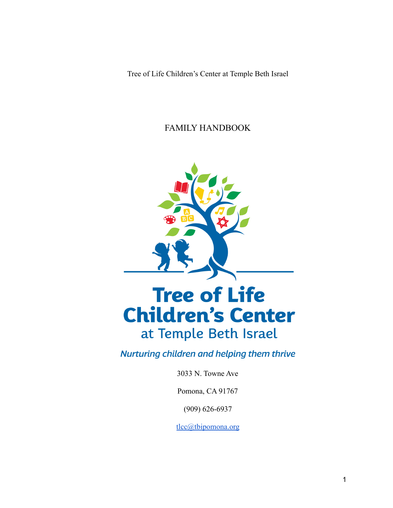Tree of Life Children's Center at Temple Beth Israel

FAMILY HANDBOOK



# **Tree of Life Children's Center** at Temple Beth Israel

Nurturing children and helping them thrive

3033 N. Towne Ave

Pomona, CA 91767

(909) 626-6937

[tlcc@tbipomona.org](mailto:tlcc@tbipomona.org)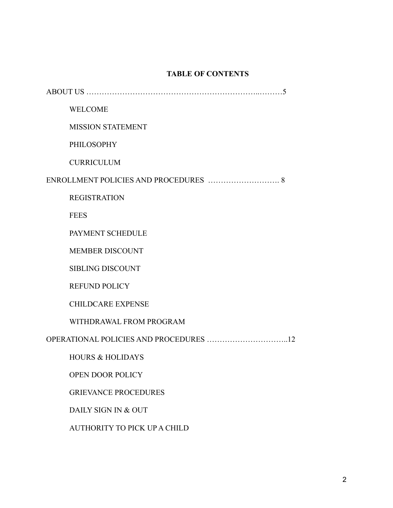# **TABLE OF CONTENTS**

| <b>WELCOME</b>              |
|-----------------------------|
| <b>MISSION STATEMENT</b>    |
| PHILOSOPHY                  |
| <b>CURRICULUM</b>           |
|                             |
| <b>REGISTRATION</b>         |
| <b>FEES</b>                 |
| PAYMENT SCHEDULE            |
| <b>MEMBER DISCOUNT</b>      |
| <b>SIBLING DISCOUNT</b>     |
| <b>REFUND POLICY</b>        |
| <b>CHILDCARE EXPENSE</b>    |
| WITHDRAWAL FROM PROGRAM     |
|                             |
| <b>HOURS &amp; HOLIDAYS</b> |
| <b>OPEN DOOR POLICY</b>     |
| <b>GRIEVANCE PROCEDURES</b> |

DAILY SIGN IN & OUT

AUTHORITY TO PICK UP A CHILD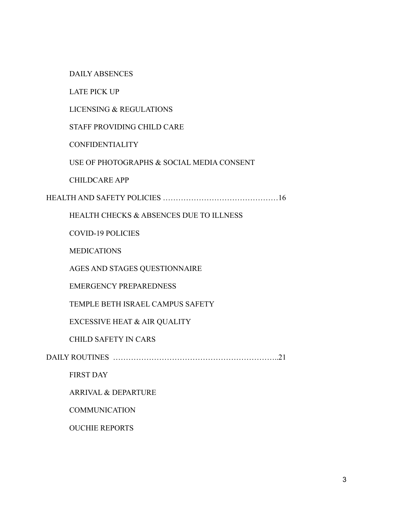DAILY ABSENCES

LATE PICK UP

LICENSING & REGULATIONS

STAFF PROVIDING CHILD CARE

**CONFIDENTIALITY** 

USE OF PHOTOGRAPHS & SOCIAL MEDIA CONSENT

CHILDCARE APP

HEALTH AND SAFETY POLICIES ………………………………………16

HEALTH CHECKS & ABSENCES DUE TO ILLNESS

COVID-19 POLICIES

**MEDICATIONS** 

AGES AND STAGES QUESTIONNAIRE

EMERGENCY PREPAREDNESS

TEMPLE BETH ISRAEL CAMPUS SAFETY

EXCESSIVE HEAT & AIR QUALITY

CHILD SAFETY IN CARS

DAILY ROUTINES ………………………………………………………..21

FIRST DAY

ARRIVAL & DEPARTURE

**COMMUNICATION** 

OUCHIE REPORTS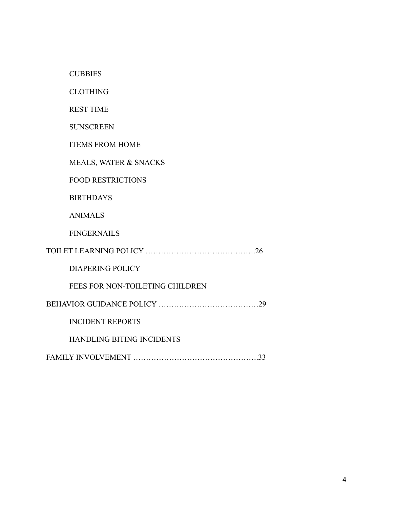**CUBBIES** 

CLOTHING

REST TIME

**SUNSCREEN** 

ITEMS FROM HOME

MEALS, WATER & SNACKS

FOOD RESTRICTIONS

BIRTHDAYS

ANIMALS

FINGERNAILS

| DIAPERING POLICY                |  |
|---------------------------------|--|
| FEES FOR NON-TOILETING CHILDREN |  |
|                                 |  |
|                                 |  |

INCIDENT REPORTS

HANDLING BITING INCIDENTS

FAMILY INVOLVEMENT ………………………………………….33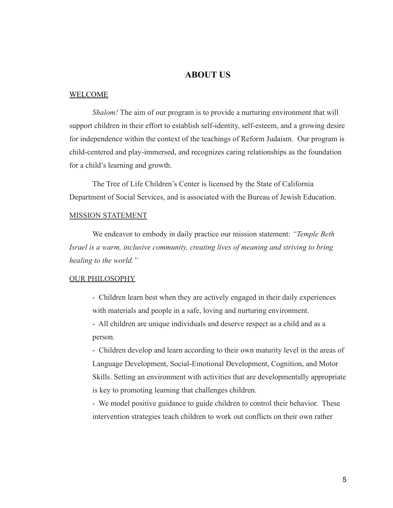## **ABOUT US**

#### WELCOME

*Shalom!* The aim of our program is to provide a nurturing environment that will support children in their effort to establish self-identity, self-esteem, and a growing desire for independence within the context of the teachings of Reform Judaism. Our program is child-centered and play-immersed, and recognizes caring relationships as the foundation for a child's learning and growth.

The Tree of Life Children's Center is licensed by the State of California Department of Social Services, and is associated with the Bureau of Jewish Education.

## MISSION STATEMENT

We endeavor to embody in daily practice our mission statement: *"Temple Beth Israel is a warm, inclusive community, creating lives of meaning and striving to bring healing to the world."*

## OUR PHILOSOPHY

- Children learn best when they are actively engaged in their daily experiences with materials and people in a safe, loving and nurturing environment.

- All children are unique individuals and deserve respect as a child and as a person.

- Children develop and learn according to their own maturity level in the areas of Language Development, Social-Emotional Development, Cognition, and Motor Skills. Setting an environment with activities that are developmentally appropriate is key to promoting learning that challenges children.

- We model positive guidance to guide children to control their behavior. These intervention strategies teach children to work out conflicts on their own rather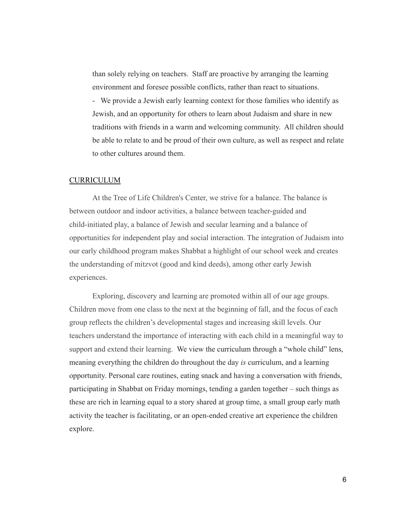than solely relying on teachers. Staff are proactive by arranging the learning environment and foresee possible conflicts, rather than react to situations.

- We provide a Jewish early learning context for those families who identify as Jewish, and an opportunity for others to learn about Judaism and share in new traditions with friends in a warm and welcoming community. All children should be able to relate to and be proud of their own culture, as well as respect and relate to other cultures around them.

## CURRICULUM

At the Tree of Life Children's Center, we strive for a balance. The balance is between outdoor and indoor activities, a balance between teacher-guided and child-initiated play, a balance of Jewish and secular learning and a balance of opportunities for independent play and social interaction. The integration of Judaism into our early childhood program makes Shabbat a highlight of our school week and creates the understanding of mitzvot (good and kind deeds), among other early Jewish experiences.

Exploring, discovery and learning are promoted within all of our age groups. Children move from one class to the next at the beginning of fall, and the focus of each group reflects the children's developmental stages and increasing skill levels. Our teachers understand the importance of interacting with each child in a meaningful way to support and extend their learning. We view the curriculum through a "whole child" lens, meaning everything the children do throughout the day *is* curriculum, and a learning opportunity. Personal care routines, eating snack and having a conversation with friends, participating in Shabbat on Friday mornings, tending a garden together – such things as these are rich in learning equal to a story shared at group time, a small group early math activity the teacher is facilitating, or an open-ended creative art experience the children explore.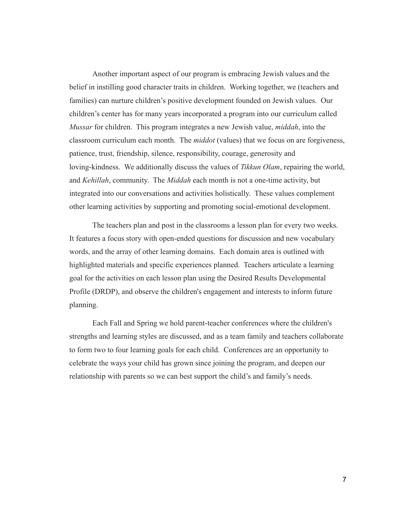Another important aspect of our program is embracing Jewish values and the belief in instilling good character traits in children. Working together, we (teachers and families) can nurture children's positive development founded on Jewish values. Our children's center has for many years incorporated a program into our curriculum called *Mussar* for children. This program integrates a new Jewish value, *middah*, into the classroom curriculum each month. The *middot* (values) that we focus on are forgiveness, patience, trust, friendship, silence, responsibility, courage, generosity and loving-kindness. We additionally discuss the values of *Tikkun Olam*, repairing the world, and *Kehillah*, community. The *Middah* each month is not a one-time activity, but integrated into our conversations and activities holistically. These values complement other learning activities by supporting and promoting social-emotional development.

The teachers plan and post in the classrooms a lesson plan for every two weeks. It features a focus story with open-ended questions for discussion and new vocabulary words, and the array of other learning domains. Each domain area is outlined with highlighted materials and specific experiences planned. Teachers articulate a learning goal for the activities on each lesson plan using the Desired Results Developmental Profile (DRDP), and observe the children's engagement and interests to inform future planning.

Each Fall and Spring we hold parent-teacher conferences where the children's strengths and learning styles are discussed, and as a team family and teachers collaborate to form two to four learning goals for each child. Conferences are an opportunity to celebrate the ways your child has grown since joining the program, and deepen our relationship with parents so we can best support the child's and family's needs.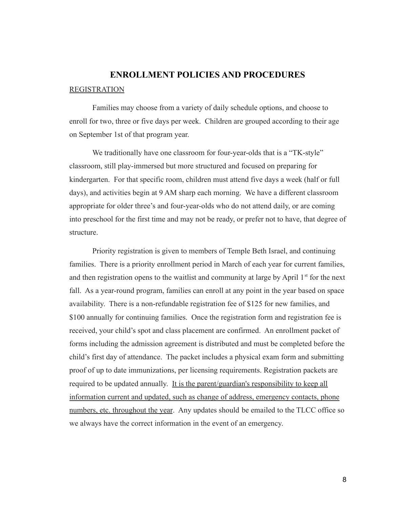# **ENROLLMENT POLICIES AND PROCEDURES** REGISTRATION

Families may choose from a variety of daily schedule options, and choose to enroll for two, three or five days per week. Children are grouped according to their age on September 1st of that program year.

We traditionally have one classroom for four-year-olds that is a "TK-style" classroom, still play-immersed but more structured and focused on preparing for kindergarten. For that specific room, children must attend five days a week (half or full days), and activities begin at 9 AM sharp each morning. We have a different classroom appropriate for older three's and four-year-olds who do not attend daily, or are coming into preschool for the first time and may not be ready, or prefer not to have, that degree of structure.

Priority registration is given to members of Temple Beth Israel, and continuing families. There is a priority enrollment period in March of each year for current families, and then registration opens to the waitlist and community at large by April  $1<sup>st</sup>$  for the next fall. As a year-round program, families can enroll at any point in the year based on space availability. There is a non-refundable registration fee of \$125 for new families, and \$100 annually for continuing families. Once the registration form and registration fee is received, your child's spot and class placement are confirmed. An enrollment packet of forms including the admission agreement is distributed and must be completed before the child's first day of attendance. The packet includes a physical exam form and submitting proof of up to date immunizations, per licensing requirements. Registration packets are required to be updated annually. It is the parent/guardian's responsibility to keep all information current and updated, such as change of address, emergency contacts, phone numbers, etc. throughout the year. Any updates should be emailed to the TLCC office so we always have the correct information in the event of an emergency.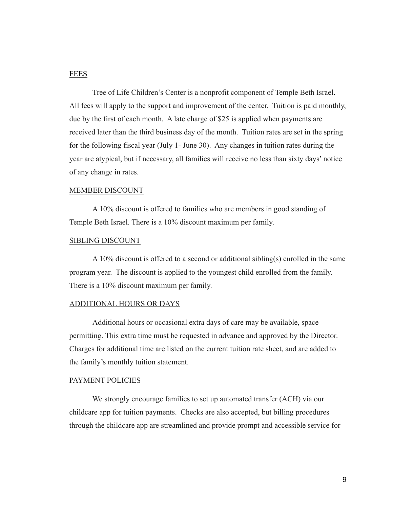## **FEES**

Tree of Life Children's Center is a nonprofit component of Temple Beth Israel. All fees will apply to the support and improvement of the center. Tuition is paid monthly, due by the first of each month. A late charge of \$25 is applied when payments are received later than the third business day of the month. Tuition rates are set in the spring for the following fiscal year (July 1- June 30). Any changes in tuition rates during the year are atypical, but if necessary, all families will receive no less than sixty days' notice of any change in rates.

## MEMBER DISCOUNT

A 10% discount is offered to families who are members in good standing of Temple Beth Israel. There is a 10% discount maximum per family.

## SIBLING DISCOUNT

A 10% discount is offered to a second or additional sibling(s) enrolled in the same program year. The discount is applied to the youngest child enrolled from the family. There is a 10% discount maximum per family.

#### ADDITIONAL HOURS OR DAYS

Additional hours or occasional extra days of care may be available, space permitting. This extra time must be requested in advance and approved by the Director. Charges for additional time are listed on the current tuition rate sheet, and are added to the family's monthly tuition statement.

## PAYMENT POLICIES

We strongly encourage families to set up automated transfer (ACH) via our childcare app for tuition payments. Checks are also accepted, but billing procedures through the childcare app are streamlined and provide prompt and accessible service for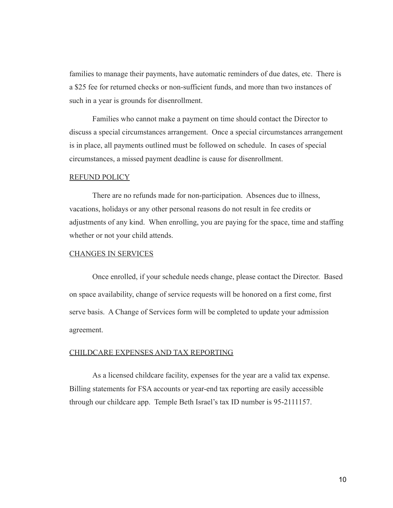families to manage their payments, have automatic reminders of due dates, etc. There is a \$25 fee for returned checks or non-sufficient funds, and more than two instances of such in a year is grounds for disenrollment.

Families who cannot make a payment on time should contact the Director to discuss a special circumstances arrangement. Once a special circumstances arrangement is in place, all payments outlined must be followed on schedule. In cases of special circumstances, a missed payment deadline is cause for disenrollment.

#### REFUND POLICY

There are no refunds made for non-participation. Absences due to illness, vacations, holidays or any other personal reasons do not result in fee credits or adjustments of any kind. When enrolling, you are paying for the space, time and staffing whether or not your child attends.

## CHANGES IN SERVICES

Once enrolled, if your schedule needs change, please contact the Director. Based on space availability, change of service requests will be honored on a first come, first serve basis. A Change of Services form will be completed to update your admission agreement.

#### CHILDCARE EXPENSES AND TAX REPORTING

As a licensed childcare facility, expenses for the year are a valid tax expense. Billing statements for FSA accounts or year-end tax reporting are easily accessible through our childcare app. Temple Beth Israel's tax ID number is 95-2111157.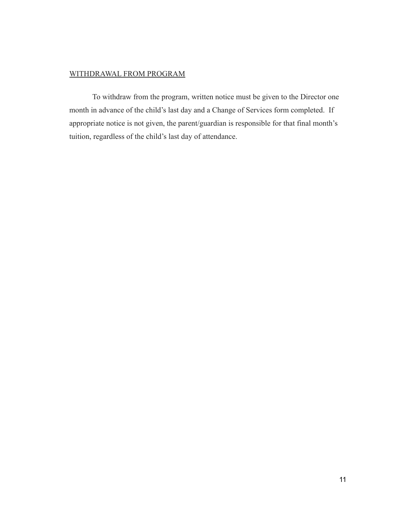## WITHDRAWAL FROM PROGRAM

To withdraw from the program, written notice must be given to the Director one month in advance of the child's last day and a Change of Services form completed. If appropriate notice is not given, the parent/guardian is responsible for that final month's tuition, regardless of the child's last day of attendance.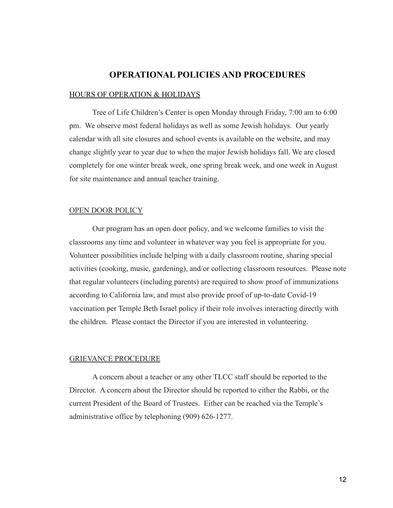## **OPERATIONAL POLICIES AND PROCEDURES**

#### HOURS OF OPERATION & HOLIDAYS

Tree of Life Children's Center is open Monday through Friday, 7:00 am to 6:00 pm. We observe most federal holidays as well as some Jewish holidays. Our yearly calendar with all site closures and school events is available on the website, and may change slightly year to year due to when the major Jewish holidays fall. We are closed completely for one winter break week, one spring break week, and one week in August for site maintenance and annual teacher training.

#### OPEN DOOR POLICY

Our program has an open door policy, and we welcome families to visit the classrooms any time and volunteer in whatever way you feel is appropriate for you. Volunteer possibilities include helping with a daily classroom routine, sharing special activities (cooking, music, gardening), and/or collecting classroom resources. Please note that regular volunteers (including parents) are required to show proof of immunizations according to California law, and must also provide proof of up-to-date Covid-19 vaccination per Temple Beth Israel policy if their role involves interacting directly with the children. Please contact the Director if you are interested in volunteering.

#### GRIEVANCE PROCEDURE

A concern about a teacher or any other TLCC staff should be reported to the Director. A concern about the Director should be reported to either the Rabbi, or the current President of the Board of Trustees. Either can be reached via the Temple's administrative office by telephoning (909) 626-1277.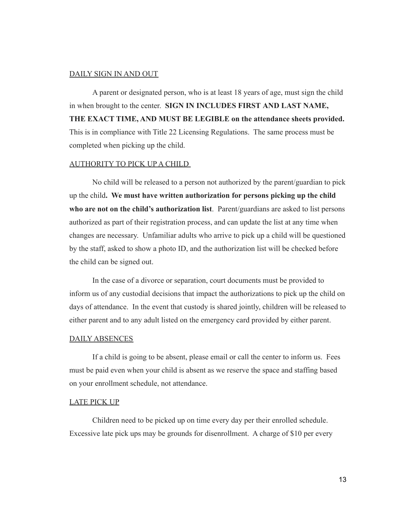## DAILY SIGN IN AND OUT

A parent or designated person, who is at least 18 years of age, must sign the child in when brought to the center. **SIGN IN INCLUDES FIRST AND LAST NAME, THE EXACT TIME, AND MUST BE LEGIBLE on the attendance sheets provided.** This is in compliance with Title 22 Licensing Regulations. The same process must be completed when picking up the child.

## AUTHORITY TO PICK UP A CHILD

No child will be released to a person not authorized by the parent/guardian to pick up the child**. We must have written authorization for persons picking up the child who are not on the child's authorization list**. Parent/guardians are asked to list persons authorized as part of their registration process, and can update the list at any time when changes are necessary. Unfamiliar adults who arrive to pick up a child will be questioned by the staff, asked to show a photo ID, and the authorization list will be checked before the child can be signed out.

In the case of a divorce or separation, court documents must be provided to inform us of any custodial decisions that impact the authorizations to pick up the child on days of attendance. In the event that custody is shared jointly, children will be released to either parent and to any adult listed on the emergency card provided by either parent.

## DAILY ABSENCES

If a child is going to be absent, please email or call the center to inform us. Fees must be paid even when your child is absent as we reserve the space and staffing based on your enrollment schedule, not attendance.

#### LATE PICK UP

Children need to be picked up on time every day per their enrolled schedule. Excessive late pick ups may be grounds for disenrollment. A charge of \$10 per every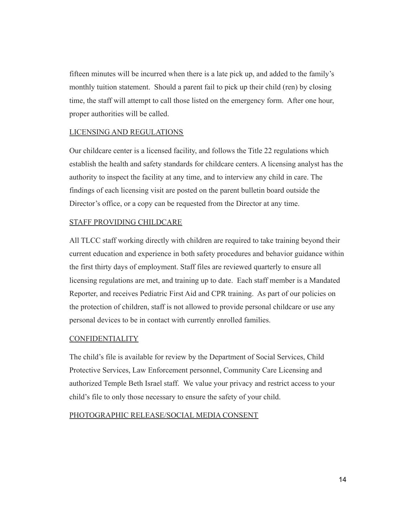fifteen minutes will be incurred when there is a late pick up, and added to the family's monthly tuition statement. Should a parent fail to pick up their child (ren) by closing time, the staff will attempt to call those listed on the emergency form. After one hour, proper authorities will be called.

## LICENSING AND REGULATIONS

Our childcare center is a licensed facility, and follows the Title 22 regulations which establish the health and safety standards for childcare centers. A licensing analyst has the authority to inspect the facility at any time, and to interview any child in care. The findings of each licensing visit are posted on the parent bulletin board outside the Director's office, or a copy can be requested from the Director at any time.

## STAFF PROVIDING CHILDCARE

All TLCC staff working directly with children are required to take training beyond their current education and experience in both safety procedures and behavior guidance within the first thirty days of employment. Staff files are reviewed quarterly to ensure all licensing regulations are met, and training up to date. Each staff member is a Mandated Reporter, and receives Pediatric First Aid and CPR training. As part of our policies on the protection of children, staff is not allowed to provide personal childcare or use any personal devices to be in contact with currently enrolled families.

## **CONFIDENTIALITY**

The child's file is available for review by the Department of Social Services, Child Protective Services, Law Enforcement personnel, Community Care Licensing and authorized Temple Beth Israel staff. We value your privacy and restrict access to your child's file to only those necessary to ensure the safety of your child.

## PHOTOGRAPHIC RELEASE/SOCIAL MEDIA CONSENT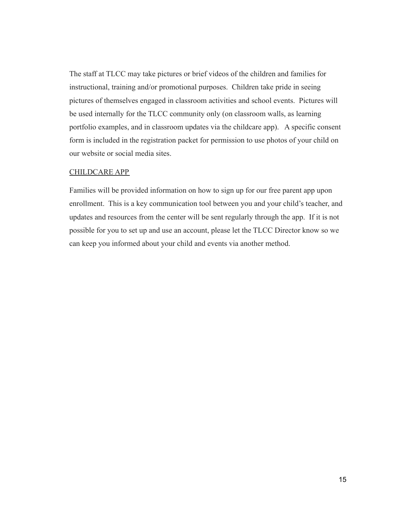The staff at TLCC may take pictures or brief videos of the children and families for instructional, training and/or promotional purposes. Children take pride in seeing pictures of themselves engaged in classroom activities and school events. Pictures will be used internally for the TLCC community only (on classroom walls, as learning portfolio examples, and in classroom updates via the childcare app). A specific consent form is included in the registration packet for permission to use photos of your child on our website or social media sites.

## CHILDCARE APP

Families will be provided information on how to sign up for our free parent app upon enrollment. This is a key communication tool between you and your child's teacher, and updates and resources from the center will be sent regularly through the app. If it is not possible for you to set up and use an account, please let the TLCC Director know so we can keep you informed about your child and events via another method.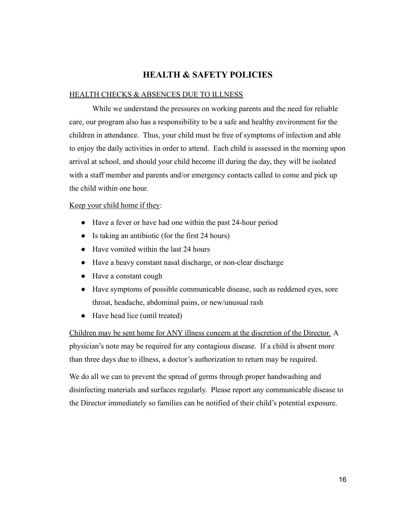# **HEALTH & SAFETY POLICIES**

## HEALTH CHECKS & ABSENCES DUE TO ILLNESS

While we understand the pressures on working parents and the need for reliable care, our program also has a responsibility to be a safe and healthy environment for the children in attendance. Thus, your child must be free of symptoms of infection and able to enjoy the daily activities in order to attend. Each child is assessed in the morning upon arrival at school, and should your child become ill during the day, they will be isolated with a staff member and parents and/or emergency contacts called to come and pick up the child within one hour.

## Keep your child home if they:

- Have a fever or have had one within the past 24-hour period
- Is taking an antibiotic (for the first 24 hours)
- Have vomited within the last 24 hours
- Have a heavy constant nasal discharge, or non-clear discharge
- Have a constant cough
- Have symptoms of possible communicable disease, such as reddened eyes, sore throat, headache, abdominal pains, or new/unusual rash
- Have head lice (until treated)

Children may be sent home for ANY illness concern at the discretion of the Director. A physician's note may be required for any contagious disease. If a child is absent more than three days due to illness, a doctor's authorization to return may be required.

We do all we can to prevent the spread of germs through proper handwashing and disinfecting materials and surfaces regularly. Please report any communicable disease to the Director immediately so families can be notified of their child's potential exposure.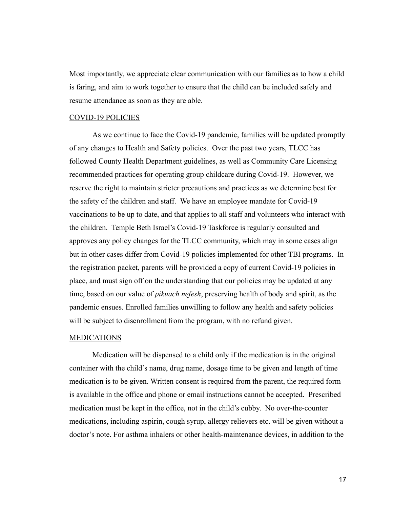Most importantly, we appreciate clear communication with our families as to how a child is faring, and aim to work together to ensure that the child can be included safely and resume attendance as soon as they are able.

## COVID-19 POLICIES

As we continue to face the Covid-19 pandemic, families will be updated promptly of any changes to Health and Safety policies. Over the past two years, TLCC has followed County Health Department guidelines, as well as Community Care Licensing recommended practices for operating group childcare during Covid-19. However, we reserve the right to maintain stricter precautions and practices as we determine best for the safety of the children and staff. We have an employee mandate for Covid-19 vaccinations to be up to date, and that applies to all staff and volunteers who interact with the children. Temple Beth Israel's Covid-19 Taskforce is regularly consulted and approves any policy changes for the TLCC community, which may in some cases align but in other cases differ from Covid-19 policies implemented for other TBI programs. In the registration packet, parents will be provided a copy of current Covid-19 policies in place, and must sign off on the understanding that our policies may be updated at any time, based on our value of *pikuach nefesh*, preserving health of body and spirit, as the pandemic ensues. Enrolled families unwilling to follow any health and safety policies will be subject to disenrollment from the program, with no refund given.

#### **MEDICATIONS**

Medication will be dispensed to a child only if the medication is in the original container with the child's name, drug name, dosage time to be given and length of time medication is to be given. Written consent is required from the parent, the required form is available in the office and phone or email instructions cannot be accepted. Prescribed medication must be kept in the office, not in the child's cubby. No over-the-counter medications, including aspirin, cough syrup, allergy relievers etc. will be given without a doctor's note. For asthma inhalers or other health-maintenance devices, in addition to the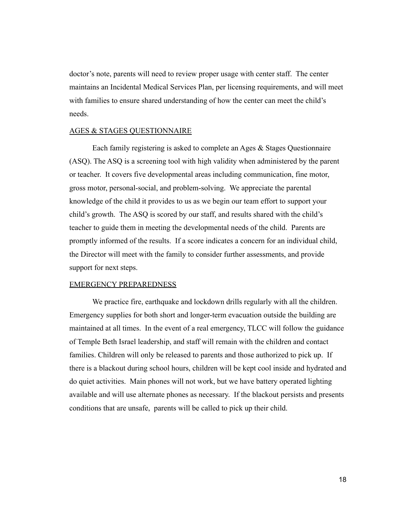doctor's note, parents will need to review proper usage with center staff. The center maintains an Incidental Medical Services Plan, per licensing requirements, and will meet with families to ensure shared understanding of how the center can meet the child's needs.

## AGES & STAGES QUESTIONNAIRE

Each family registering is asked to complete an Ages & Stages Questionnaire (ASQ). The ASQ is a screening tool with high validity when administered by the parent or teacher. It covers five developmental areas including communication, fine motor, gross motor, personal-social, and problem-solving. We appreciate the parental knowledge of the child it provides to us as we begin our team effort to support your child's growth. The ASQ is scored by our staff, and results shared with the child's teacher to guide them in meeting the developmental needs of the child. Parents are promptly informed of the results. If a score indicates a concern for an individual child, the Director will meet with the family to consider further assessments, and provide support for next steps.

## EMERGENCY PREPAREDNESS

We practice fire, earthquake and lockdown drills regularly with all the children. Emergency supplies for both short and longer-term evacuation outside the building are maintained at all times. In the event of a real emergency, TLCC will follow the guidance of Temple Beth Israel leadership, and staff will remain with the children and contact families. Children will only be released to parents and those authorized to pick up. If there is a blackout during school hours, children will be kept cool inside and hydrated and do quiet activities. Main phones will not work, but we have battery operated lighting available and will use alternate phones as necessary. If the blackout persists and presents conditions that are unsafe, parents will be called to pick up their child.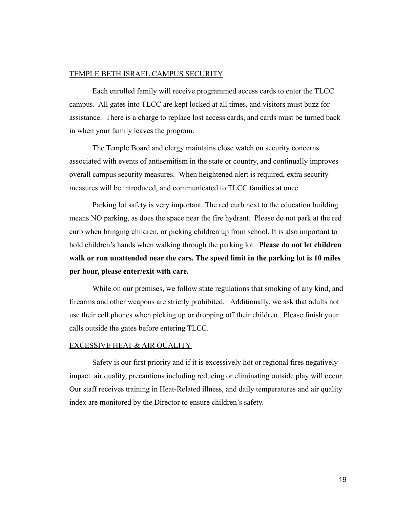## TEMPLE BETH ISRAEL CAMPUS SECURITY

Each enrolled family will receive programmed access cards to enter the TLCC campus. All gates into TLCC are kept locked at all times, and visitors must buzz for assistance. There is a charge to replace lost access cards, and cards must be turned back in when your family leaves the program.

The Temple Board and clergy maintains close watch on security concerns associated with events of antisemitism in the state or country, and continually improves overall campus security measures. When heightened alert is required, extra security measures will be introduced, and communicated to TLCC families at once.

Parking lot safety is very important. The red curb next to the education building means NO parking, as does the space near the fire hydrant. Please do not park at the red curb when bringing children, or picking children up from school. It is also important to hold children's hands when walking through the parking lot. **Please do not let children walk or run unattended near the cars. The speed limit in the parking lot is 10 miles per hour, please enter/exit with care.**

While on our premises, we follow state regulations that smoking of any kind, and firearms and other weapons are strictly prohibited. Additionally, we ask that adults not use their cell phones when picking up or dropping off their children. Please finish your calls outside the gates before entering TLCC.

## EXCESSIVE HEAT & AIR QUALITY

Safety is our first priority and if it is excessively hot or regional fires negatively impact air quality, precautions including reducing or eliminating outside play will occur. Our staff receives training in Heat-Related illness, and daily temperatures and air quality index are monitored by the Director to ensure children's safety.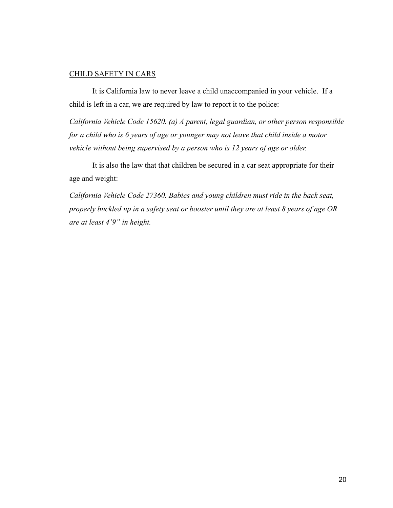## CHILD SAFETY IN CARS

It is California law to never leave a child unaccompanied in your vehicle. If a child is left in a car, we are required by law to report it to the police:

*California Vehicle Code 15620. (a) A parent, legal guardian, or other person responsible for a child who is 6 years of age or younger may not leave that child inside a motor vehicle without being supervised by a person who is 12 years of age or older.*

It is also the law that that children be secured in a car seat appropriate for their age and weight:

*California Vehicle Code 27360. Babies and young children must ride in the back seat, properly buckled up in a safety seat or booster until they are at least 8 years of age OR are at least 4'9" in height.*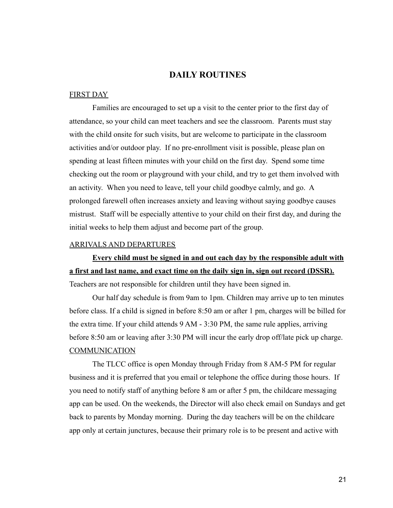## **DAILY ROUTINES**

## FIRST DAY

Families are encouraged to set up a visit to the center prior to the first day of attendance, so your child can meet teachers and see the classroom. Parents must stay with the child onsite for such visits, but are welcome to participate in the classroom activities and/or outdoor play. If no pre-enrollment visit is possible, please plan on spending at least fifteen minutes with your child on the first day. Spend some time checking out the room or playground with your child, and try to get them involved with an activity. When you need to leave, tell your child goodbye calmly, and go. A prolonged farewell often increases anxiety and leaving without saying goodbye causes mistrust. Staff will be especially attentive to your child on their first day, and during the initial weeks to help them adjust and become part of the group.

## ARRIVALS AND DEPARTURES

**Every child must be signed in and out each day by the responsible adult with a first and last name, and exact time on the daily sign in, sign out record (DSSR).** Teachers are not responsible for children until they have been signed in.

Our half day schedule is from 9am to 1pm. Children may arrive up to ten minutes before class. If a child is signed in before 8:50 am or after 1 pm, charges will be billed for the extra time. If your child attends 9 AM - 3:30 PM, the same rule applies, arriving before 8:50 am or leaving after 3:30 PM will incur the early drop off/late pick up charge. **COMMUNICATION** 

The TLCC office is open Monday through Friday from 8 AM-5 PM for regular business and it is preferred that you email or telephone the office during those hours. If you need to notify staff of anything before 8 am or after 5 pm, the childcare messaging app can be used. On the weekends, the Director will also check email on Sundays and get back to parents by Monday morning. During the day teachers will be on the childcare app only at certain junctures, because their primary role is to be present and active with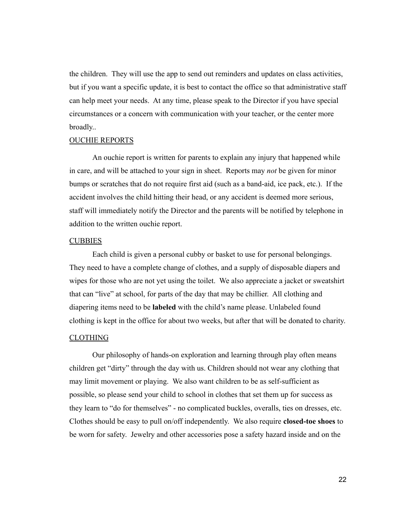the children. They will use the app to send out reminders and updates on class activities, but if you want a specific update, it is best to contact the office so that administrative staff can help meet your needs. At any time, please speak to the Director if you have special circumstances or a concern with communication with your teacher, or the center more broadly..

#### OUCHIE REPORTS

An ouchie report is written for parents to explain any injury that happened while in care, and will be attached to your sign in sheet. Reports may *not* be given for minor bumps or scratches that do not require first aid (such as a band-aid, ice pack, etc.). If the accident involves the child hitting their head, or any accident is deemed more serious, staff will immediately notify the Director and the parents will be notified by telephone in addition to the written ouchie report.

#### **CUBBIES**

Each child is given a personal cubby or basket to use for personal belongings. They need to have a complete change of clothes, and a supply of disposable diapers and wipes for those who are not yet using the toilet. We also appreciate a jacket or sweatshirt that can "live" at school, for parts of the day that may be chillier. All clothing and diapering items need to be **labeled** with the child's name please. Unlabeled found clothing is kept in the office for about two weeks, but after that will be donated to charity.

#### CLOTHING

Our philosophy of hands-on exploration and learning through play often means children get "dirty" through the day with us. Children should not wear any clothing that may limit movement or playing. We also want children to be as self-sufficient as possible, so please send your child to school in clothes that set them up for success as they learn to "do for themselves" - no complicated buckles, overalls, ties on dresses, etc. Clothes should be easy to pull on/off independently. We also require **closed-toe shoes** to be worn for safety. Jewelry and other accessories pose a safety hazard inside and on the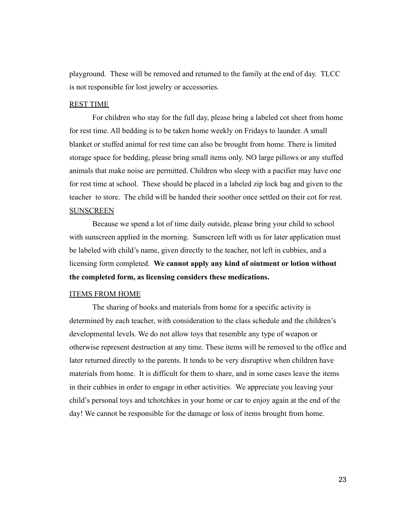playground. These will be removed and returned to the family at the end of day. TLCC is not responsible for lost jewelry or accessories.

## REST TIME

For children who stay for the full day, please bring a labeled cot sheet from home for rest time. All bedding is to be taken home weekly on Fridays to launder. A small blanket or stuffed animal for rest time can also be brought from home. There is limited storage space for bedding, please bring small items only. NO large pillows or any stuffed animals that make noise are permitted. Children who sleep with a pacifier may have one for rest time at school. These should be placed in a labeled zip lock bag and given to the teacher to store. The child will be handed their soother once settled on their cot for rest. SUNSCREEN

Because we spend a lot of time daily outside, please bring your child to school with sunscreen applied in the morning. Sunscreen left with us for later application must be labeled with child's name, given directly to the teacher, not left in cubbies, and a licensing form completed. **We cannot apply any kind of ointment or lotion without the completed form, as licensing considers these medications.**

## ITEMS FROM HOME

The sharing of books and materials from home for a specific activity is determined by each teacher, with consideration to the class schedule and the children's developmental levels. We do not allow toys that resemble any type of weapon or otherwise represent destruction at any time. These items will be removed to the office and later returned directly to the parents. It tends to be very disruptive when children have materials from home. It is difficult for them to share, and in some cases leave the items in their cubbies in order to engage in other activities. We appreciate you leaving your child's personal toys and tchotchkes in your home or car to enjoy again at the end of the day! We cannot be responsible for the damage or loss of items brought from home.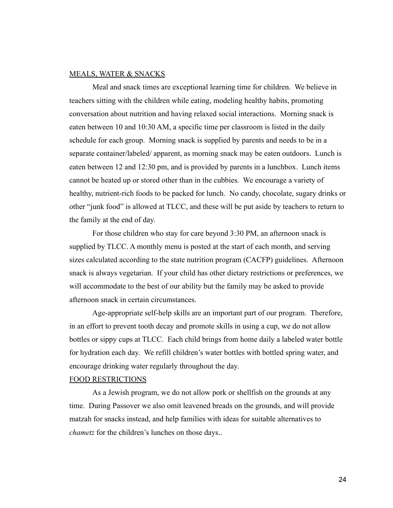## MEALS, WATER & SNACKS

Meal and snack times are exceptional learning time for children. We believe in teachers sitting with the children while eating, modeling healthy habits, promoting conversation about nutrition and having relaxed social interactions. Morning snack is eaten between 10 and 10:30 AM, a specific time per classroom is listed in the daily schedule for each group. Morning snack is supplied by parents and needs to be in a separate container/labeled/ apparent, as morning snack may be eaten outdoors. Lunch is eaten between 12 and 12:30 pm, and is provided by parents in a lunchbox. Lunch items cannot be heated up or stored other than in the cubbies. We encourage a variety of healthy, nutrient-rich foods to be packed for lunch. No candy, chocolate, sugary drinks or other "junk food" is allowed at TLCC, and these will be put aside by teachers to return to the family at the end of day.

For those children who stay for care beyond 3:30 PM, an afternoon snack is supplied by TLCC. A monthly menu is posted at the start of each month, and serving sizes calculated according to the state nutrition program (CACFP) guidelines. Afternoon snack is always vegetarian. If your child has other dietary restrictions or preferences, we will accommodate to the best of our ability but the family may be asked to provide afternoon snack in certain circumstances.

Age-appropriate self-help skills are an important part of our program. Therefore, in an effort to prevent tooth decay and promote skills in using a cup, we do not allow bottles or sippy cups at TLCC. Each child brings from home daily a labeled water bottle for hydration each day. We refill children's water bottles with bottled spring water, and encourage drinking water regularly throughout the day.

## FOOD RESTRICTIONS

As a Jewish program, we do not allow pork or shellfish on the grounds at any time. During Passover we also omit leavened breads on the grounds, and will provide matzah for snacks instead, and help families with ideas for suitable alternatives to *chametz* for the children's lunches on those days..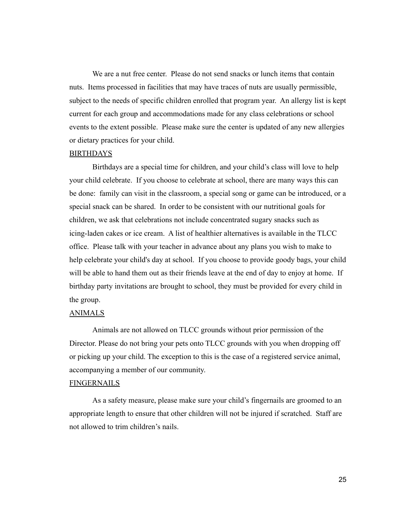We are a nut free center. Please do not send snacks or lunch items that contain nuts. Items processed in facilities that may have traces of nuts are usually permissible, subject to the needs of specific children enrolled that program year. An allergy list is kept current for each group and accommodations made for any class celebrations or school events to the extent possible. Please make sure the center is updated of any new allergies or dietary practices for your child.

## BIRTHDAYS

Birthdays are a special time for children, and your child's class will love to help your child celebrate. If you choose to celebrate at school, there are many ways this can be done: family can visit in the classroom, a special song or game can be introduced, or a special snack can be shared. In order to be consistent with our nutritional goals for children, we ask that celebrations not include concentrated sugary snacks such as icing-laden cakes or ice cream. A list of healthier alternatives is available in the TLCC office. Please talk with your teacher in advance about any plans you wish to make to help celebrate your child's day at school. If you choose to provide goody bags, your child will be able to hand them out as their friends leave at the end of day to enjoy at home. If birthday party invitations are brought to school, they must be provided for every child in the group.

#### ANIMALS

Animals are not allowed on TLCC grounds without prior permission of the Director. Please do not bring your pets onto TLCC grounds with you when dropping off or picking up your child. The exception to this is the case of a registered service animal, accompanying a member of our community.

## FINGERNAILS

As a safety measure, please make sure your child's fingernails are groomed to an appropriate length to ensure that other children will not be injured if scratched. Staff are not allowed to trim children's nails.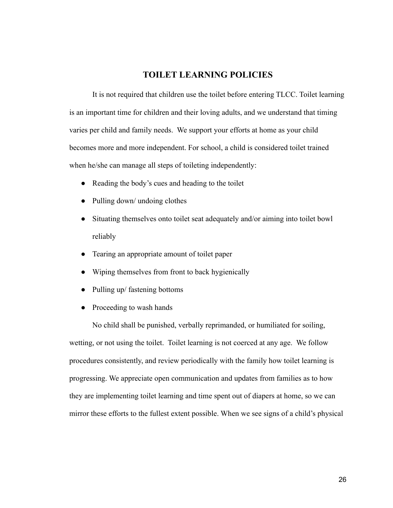# **TOILET LEARNING POLICIES**

It is not required that children use the toilet before entering TLCC. Toilet learning is an important time for children and their loving adults, and we understand that timing varies per child and family needs. We support your efforts at home as your child becomes more and more independent. For school, a child is considered toilet trained when he/she can manage all steps of toileting independently:

- Reading the body's cues and heading to the toilet
- Pulling down/ undoing clothes
- Situating themselves onto toilet seat adequately and/or aiming into toilet bowl reliably
- Tearing an appropriate amount of toilet paper
- Wiping themselves from front to back hygienically
- Pulling up/ fastening bottoms
- Proceeding to wash hands

No child shall be punished, verbally reprimanded, or humiliated for soiling, wetting, or not using the toilet. Toilet learning is not coerced at any age. We follow procedures consistently, and review periodically with the family how toilet learning is progressing. We appreciate open communication and updates from families as to how they are implementing toilet learning and time spent out of diapers at home, so we can mirror these efforts to the fullest extent possible. When we see signs of a child's physical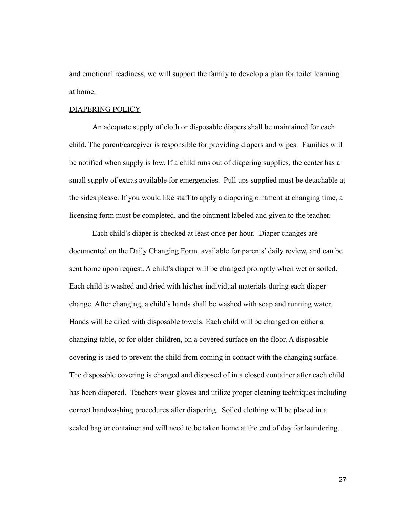and emotional readiness, we will support the family to develop a plan for toilet learning at home.

#### DIAPERING POLICY

An adequate supply of cloth or disposable diapers shall be maintained for each child. The parent/caregiver is responsible for providing diapers and wipes. Families will be notified when supply is low. If a child runs out of diapering supplies, the center has a small supply of extras available for emergencies. Pull ups supplied must be detachable at the sides please. If you would like staff to apply a diapering ointment at changing time, a licensing form must be completed, and the ointment labeled and given to the teacher.

Each child's diaper is checked at least once per hour. Diaper changes are documented on the Daily Changing Form, available for parents' daily review, and can be sent home upon request. A child's diaper will be changed promptly when wet or soiled. Each child is washed and dried with his/her individual materials during each diaper change. After changing, a child's hands shall be washed with soap and running water. Hands will be dried with disposable towels. Each child will be changed on either a changing table, or for older children, on a covered surface on the floor. A disposable covering is used to prevent the child from coming in contact with the changing surface. The disposable covering is changed and disposed of in a closed container after each child has been diapered. Teachers wear gloves and utilize proper cleaning techniques including correct handwashing procedures after diapering. Soiled clothing will be placed in a sealed bag or container and will need to be taken home at the end of day for laundering.

27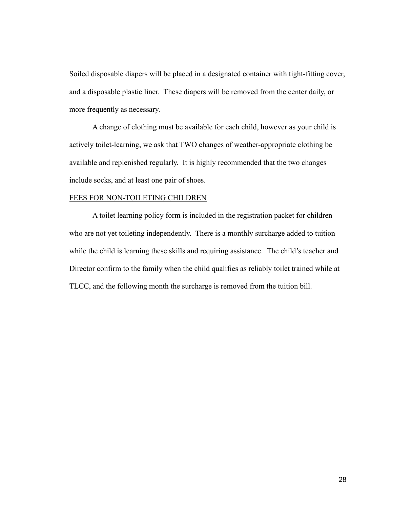Soiled disposable diapers will be placed in a designated container with tight-fitting cover, and a disposable plastic liner. These diapers will be removed from the center daily, or more frequently as necessary.

A change of clothing must be available for each child, however as your child is actively toilet-learning, we ask that TWO changes of weather-appropriate clothing be available and replenished regularly. It is highly recommended that the two changes include socks, and at least one pair of shoes.

## FEES FOR NON-TOILETING CHILDREN

A toilet learning policy form is included in the registration packet for children who are not yet toileting independently. There is a monthly surcharge added to tuition while the child is learning these skills and requiring assistance. The child's teacher and Director confirm to the family when the child qualifies as reliably toilet trained while at TLCC, and the following month the surcharge is removed from the tuition bill.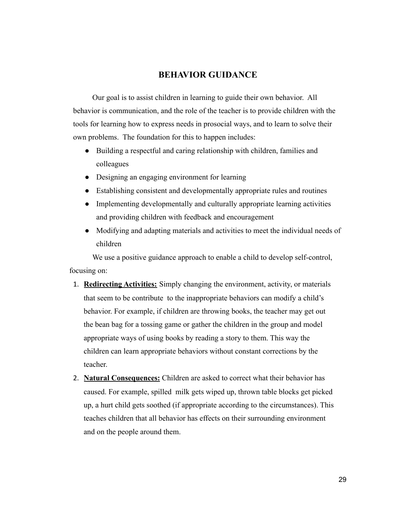## **BEHAVIOR GUIDANCE**

Our goal is to assist children in learning to guide their own behavior. All behavior is communication, and the role of the teacher is to provide children with the tools for learning how to express needs in prosocial ways, and to learn to solve their own problems. The foundation for this to happen includes:

- Building a respectful and caring relationship with children, families and colleagues
- Designing an engaging environment for learning
- Establishing consistent and developmentally appropriate rules and routines
- Implementing developmentally and culturally appropriate learning activities and providing children with feedback and encouragement
- Modifying and adapting materials and activities to meet the individual needs of children

We use a positive guidance approach to enable a child to develop self-control, focusing on:

- 1. **Redirecting Activities:** Simply changing the environment, activity, or materials that seem to be contribute to the inappropriate behaviors can modify a child's behavior. For example, if children are throwing books, the teacher may get out the bean bag for a tossing game or gather the children in the group and model appropriate ways of using books by reading a story to them. This way the children can learn appropriate behaviors without constant corrections by the teacher.
- 2. **Natural Consequences:** Children are asked to correct what their behavior has caused. For example, spilled milk gets wiped up, thrown table blocks get picked up, a hurt child gets soothed (if appropriate according to the circumstances). This teaches children that all behavior has effects on their surrounding environment and on the people around them.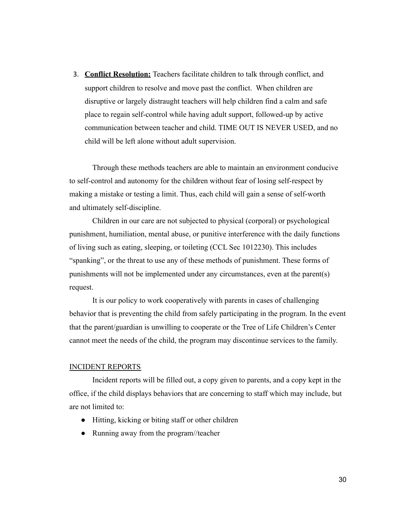3. **Conflict Resolution:** Teachers facilitate children to talk through conflict, and support children to resolve and move past the conflict. When children are disruptive or largely distraught teachers will help children find a calm and safe place to regain self-control while having adult support, followed-up by active communication between teacher and child. TIME OUT IS NEVER USED, and no child will be left alone without adult supervision.

Through these methods teachers are able to maintain an environment conducive to self-control and autonomy for the children without fear of losing self-respect by making a mistake or testing a limit. Thus, each child will gain a sense of self-worth and ultimately self-discipline.

Children in our care are not subjected to physical (corporal) or psychological punishment, humiliation, mental abuse, or punitive interference with the daily functions of living such as eating, sleeping, or toileting (CCL Sec 1012230). This includes "spanking", or the threat to use any of these methods of punishment. These forms of punishments will not be implemented under any circumstances, even at the parent(s) request.

It is our policy to work cooperatively with parents in cases of challenging behavior that is preventing the child from safely participating in the program. In the event that the parent/guardian is unwilling to cooperate or the Tree of Life Children's Center cannot meet the needs of the child, the program may discontinue services to the family.

## INCIDENT REPORTS

Incident reports will be filled out, a copy given to parents, and a copy kept in the office, if the child displays behaviors that are concerning to staff which may include, but are not limited to:

- Hitting, kicking or biting staff or other children
- Running away from the program//teacher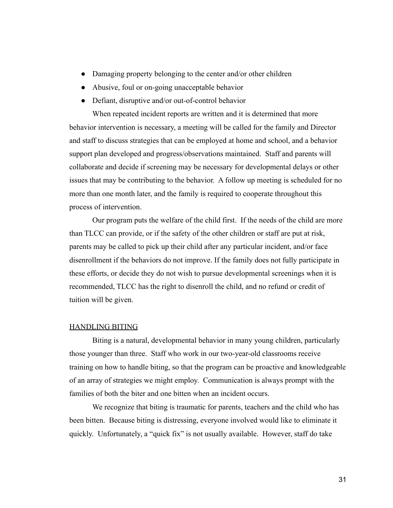- Damaging property belonging to the center and/or other children
- Abusive, foul or on-going unacceptable behavior
- Defiant, disruptive and/or out-of-control behavior

When repeated incident reports are written and it is determined that more behavior intervention is necessary, a meeting will be called for the family and Director and staff to discuss strategies that can be employed at home and school, and a behavior support plan developed and progress/observations maintained. Staff and parents will collaborate and decide if screening may be necessary for developmental delays or other issues that may be contributing to the behavior. A follow up meeting is scheduled for no more than one month later, and the family is required to cooperate throughout this process of intervention.

Our program puts the welfare of the child first. If the needs of the child are more than TLCC can provide, or if the safety of the other children or staff are put at risk, parents may be called to pick up their child after any particular incident, and/or face disenrollment if the behaviors do not improve. If the family does not fully participate in these efforts, or decide they do not wish to pursue developmental screenings when it is recommended, TLCC has the right to disenroll the child, and no refund or credit of tuition will be given.

#### HANDLING BITING

Biting is a natural, developmental behavior in many young children, particularly those younger than three. Staff who work in our two-year-old classrooms receive training on how to handle biting, so that the program can be proactive and knowledgeable of an array of strategies we might employ. Communication is always prompt with the families of both the biter and one bitten when an incident occurs.

We recognize that biting is traumatic for parents, teachers and the child who has been bitten. Because biting is distressing, everyone involved would like to eliminate it quickly. Unfortunately, a "quick fix" is not usually available. However, staff do take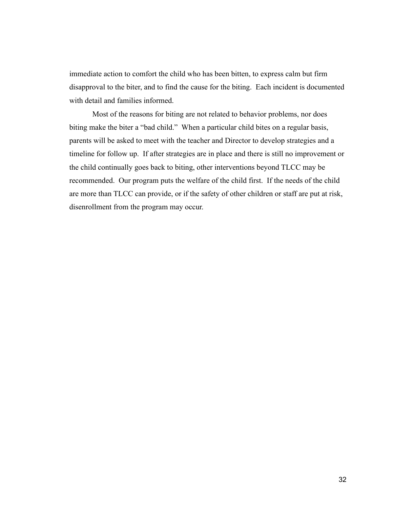immediate action to comfort the child who has been bitten, to express calm but firm disapproval to the biter, and to find the cause for the biting. Each incident is documented with detail and families informed.

Most of the reasons for biting are not related to behavior problems, nor does biting make the biter a "bad child." When a particular child bites on a regular basis, parents will be asked to meet with the teacher and Director to develop strategies and a timeline for follow up. If after strategies are in place and there is still no improvement or the child continually goes back to biting, other interventions beyond TLCC may be recommended. Our program puts the welfare of the child first. If the needs of the child are more than TLCC can provide, or if the safety of other children or staff are put at risk, disenrollment from the program may occur.